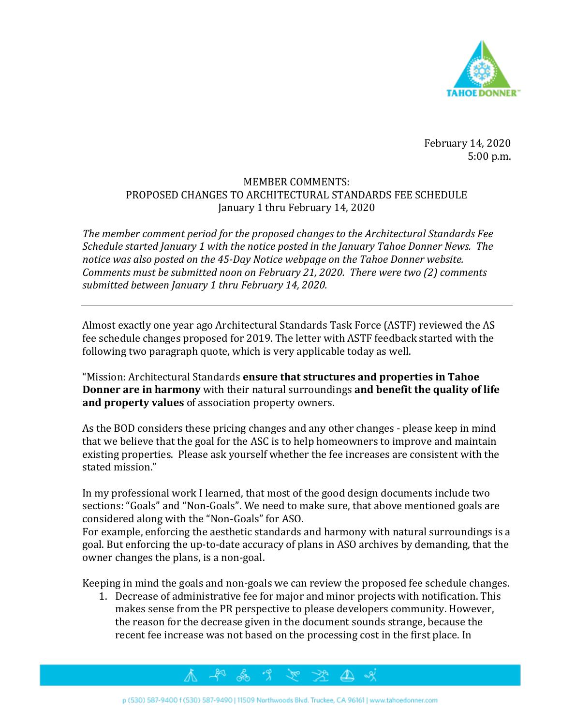

February 14, 2020 5:00 p.m.

## MEMBER COMMENTS: PROPOSED CHANGES TO ARCHITECTURAL STANDARDS FEE SCHEDULE January 1 thru February 14, 2020

*The member comment period for the proposed changes to the Architectural Standards Fee Schedule started January 1 with the notice posted in the January Tahoe Donner News. The notice was also posted on the 45-Day Notice webpage on the Tahoe Donner website. Comments must be submitted noon on February 21, 2020. There were two (2) comments submitted between January 1 thru February 14, 2020.* 

Almost exactly one year ago Architectural Standards Task Force (ASTF) reviewed the AS fee schedule changes proposed for 2019. The letter with ASTF feedback started with the following two paragraph quote, which is very applicable today as well.

"Mission: Architectural Standards **ensure that structures and properties in Tahoe Donner are in harmony** with their natural surroundings **and benefit the quality of life and property values** of association property owners.

As the BOD considers these pricing changes and any other changes - please keep in mind that we believe that the goal for the ASC is to help homeowners to improve and maintain existing properties. Please ask yourself whether the fee increases are consistent with the stated mission."

In my professional work I learned, that most of the good design documents include two sections: "Goals" and "Non-Goals". We need to make sure, that above mentioned goals are considered along with the "Non-Goals" for ASO.

For example, enforcing the aesthetic standards and harmony with natural surroundings is a goal. But enforcing the up-to-date accuracy of plans in ASO archives by demanding, that the owner changes the plans, is a non-goal.

Keeping in mind the goals and non-goals we can review the proposed fee schedule changes.

1. Decrease of administrative fee for major and minor projects with notification. This makes sense from the PR perspective to please developers community. However, the reason for the decrease given in the document sounds strange, because the recent fee increase was not based on the processing cost in the first place. In

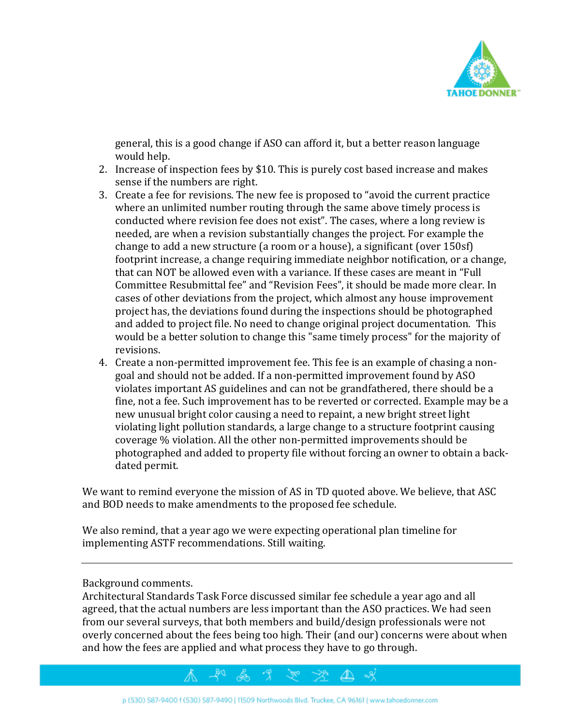

general, this is a good change if ASO can afford it, but a better reason language would help.

- 2. Increase of inspection fees by \$10. This is purely cost based increase and makes sense if the numbers are right.
- 3. Create a fee for revisions. The new fee is proposed to "avoid the current practice where an unlimited number routing through the same above timely process is conducted where revision fee does not exist". The cases, where a long review is needed, are when a revision substantially changes the project. For example the change to add a new structure (a room or a house), a significant (over 150sf) footprint increase, a change requiring immediate neighbor notification, or a change, that can NOT be allowed even with a variance. If these cases are meant in "Full Committee Resubmittal fee" and "Revision Fees", it should be made more clear. In cases of other deviations from the project, which almost any house improvement project has, the deviations found during the inspections should be photographed and added to project file. No need to change original project documentation. This would be a better solution to change this "same timely process" for the majority of revisions.
- 4. Create a non-permitted improvement fee. This fee is an example of chasing a nongoal and should not be added. If a non-permitted improvement found by ASO violates important AS guidelines and can not be grandfathered, there should be a fine, not a fee. Such improvement has to be reverted or corrected. Example may be a new unusual bright color causing a need to repaint, a new bright street light violating light pollution standards, a large change to a structure footprint causing coverage % violation. All the other non-permitted improvements should be photographed and added to property file without forcing an owner to obtain a backdated permit.

We want to remind everyone the mission of AS in TD quoted above. We believe, that ASC and BOD needs to make amendments to the proposed fee schedule.

We also remind, that a year ago we were expecting operational plan timeline for implementing ASTF recommendations. Still waiting.

Background comments.

Architectural Standards Task Force discussed similar fee schedule a year ago and all agreed, that the actual numbers are less important than the ASO practices. We had seen from our several surveys, that both members and build/design professionals were not overly concerned about the fees being too high. Their (and our) concerns were about when and how the fees are applied and what process they have to go through.